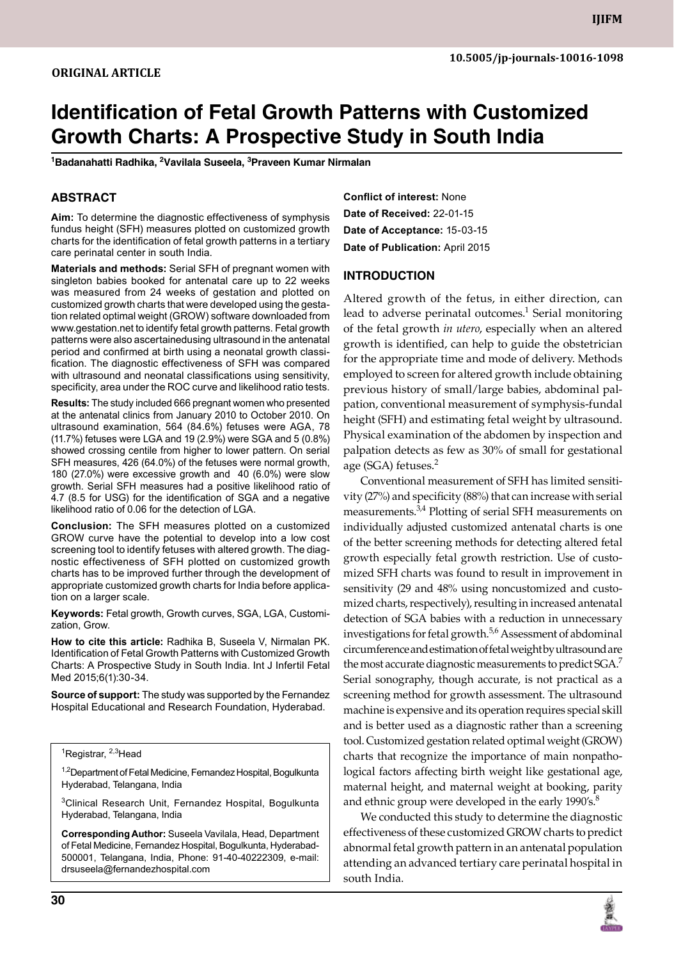# **Identification of Fetal Growth Patterns with Customized Growth Charts: A prospective study in South India**

**1 Badanahatti Radhika, <sup>2</sup> Vavilala Suseela, <sup>3</sup> Praveen Kumar Nirmalan**

## **ABSTRACT**

**Aim:** To determine the diagnostic effectiveness of symphysis fundus height (SFH) measures plotted on customized growth charts for the identification of fetal growth patterns in a tertiary care perinatal center in south India.

**Materials and methods:** Serial SFH of pregnant women with singleton babies booked for antenatal care up to 22 weeks was measured from 24 weeks of gestation and plotted on customized growth charts that were developed using the gestation related optimal weight (GROW) software downloaded from www.gestation.net to identify fetal growth patterns. Fetal growth patterns were also ascertainedusing ultrasound in the antenatal period and confirmed at birth using a neonatal growth classification. The diagnostic effectiveness of SFH was compared with ultrasound and neonatal classifications using sensitivity, specificity, area under the ROC curve and likelihood ratio tests.

**Results:** The study included 666 pregnant women who presented at the antenatal clinics from January 2010 to October 2010. On ultrasound examination, 564 (84.6%) fetuses were AGA, 78 (11.7%) fetuses were LGA and 19 (2.9%) were SGA and 5 (0.8%) showed crossing centile from higher to lower pattern. On serial SFH measures, 426 (64.0%) of the fetuses were normal growth, 180 (27.0%) were excessive growth and 40 (6.0%) were slow growth. Serial SFH measures had a positive likelihood ratio of 4.7 (8.5 for USG) for the identification of SGA and a negative likelihood ratio of 0.06 for the detection of LGA.

**Conclusion:** The SFH measures plotted on a customized GROW curve have the potential to develop into a low cost screening tool to identify fetuses with altered growth. The diagnostic effectiveness of SFH plotted on customized growth charts has to be improved further through the development of appropriate customized growth charts for India before application on a larger scale.

**Keywords:** fetal growth, growth curves, SGA, LGA, Customization, Grow.

**How to cite this article:** Radhika B, Suseela V, Nirmalan PK. Identification of Fetal Growth Patterns with Customized Growth Charts: A Prospective Study in South India. Int J Infertil Fetal Med 2015;6(1):30-34.

**Source of support:** The study was supported by the Fernandez Hospital Educational and Research Foundation, Hyderabad.

<sup>1,2</sup>Department of Fetal Medicine, Fernandez Hospital, Bogulkunta Hyderabad, Telangana, India

3Clinical Research Unit, Fernandez Hospital, Bogulkunta Hyderabad, Telangana, India

**Corresponding Author:** Suseela Vavilala, Head, Department of Fetal Medicine, Fernandez Hospital, Bogulkunta, Hyderabad-500001, Telangana, India, Phone: 91-40-40222309, e-mail: drsuseela@fernandezhospital.com

**Conflict of interest:** None **Date of Received:** 22-01-15 **Date of acceptance:** 15-03-15 **Date of publication:** April 2015

#### **Introduction**

Altered growth of the fetus, in either direction, can lead to adverse perinatal outcomes.<sup>1</sup> Serial monitoring of the fetal growth *in utero*, especially when an altered growth is identified, can help to guide the obstetrician for the appropriate time and mode of delivery. Methods employed to screen for altered growth include obtaining previous history of small/large babies, abdominal palpation, conventional measurement of symphysis-fundal height (SFH) and estimating fetal weight by ultrasound. Physical examination of the abdomen by inspection and palpation detects as few as 30% of small for gestational age (SGA) fetuses.<sup>2</sup>

Conventional measurement of SFH has limited sensitivity (27%) and specificity (88%) that can increase with serial measurements.<sup>3,4</sup> Plotting of serial SFH measurements on individually adjusted customized antenatal charts is one of the better screening methods for detecting altered fetal growth especially fetal growth restriction. Use of customized SFH charts was found to result in improvement in sensitivity (29 and 48% using noncustomized and customized charts, respectively), resulting in increased antenatal detection of SGA babies with a reduction in unnecessary investigations for fetal growth.<sup>5,6</sup> Assessment of abdominal circumference and estimation of fetal weight by ultrasound are the most accurate diagnostic measurements to predict SGA.<sup>7</sup> Serial sonography, though accurate, is not practical as a screening method for growth assessment. The ultrasound machine is expensive and its operation requires special skill and is better used as a diagnostic rather than a screening tool. Customized gestation related optimal weight (GROW) charts that recognize the importance of main nonpathological factors affecting birth weight like gestational age, maternal height, and maternal weight at booking, parity and ethnic group were developed in the early  $1990's$ .<sup>8</sup>

We conducted this study to determine the diagnostic effectiveness of these customized GROW charts to predict abnormal fetal growth pattern in an antenatal population attending an advanced tertiary care perinatal hospital in south India.



<sup>&</sup>lt;sup>1</sup>Registrar, <sup>2,3</sup>Head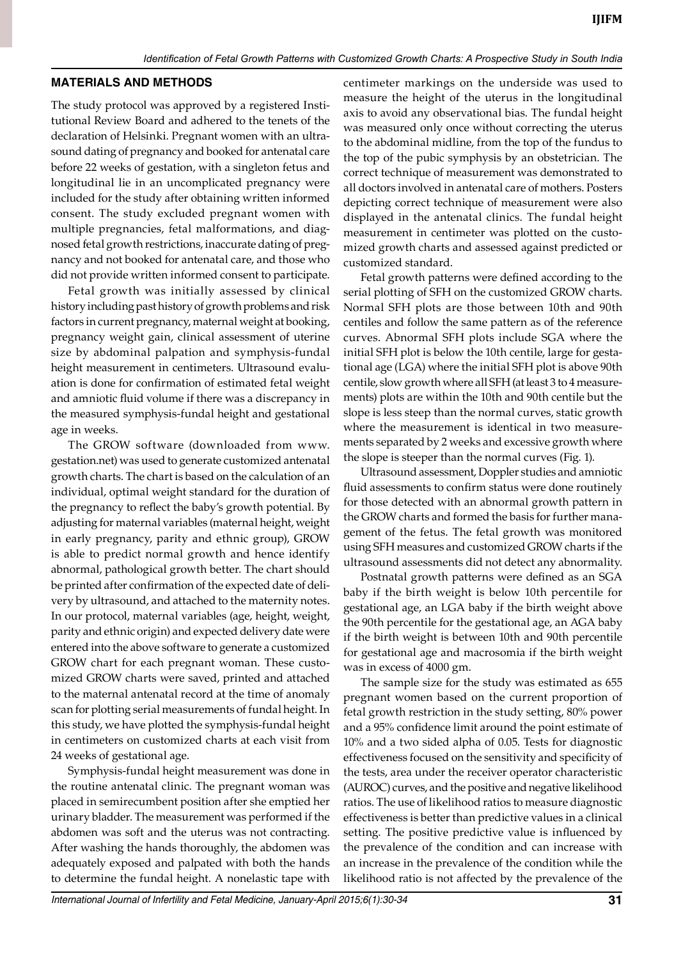#### **Materials and Methods**

The study protocol was approved by a registered Institutional Review Board and adhered to the tenets of the declaration of Helsinki. Pregnant women with an ultrasound dating of pregnancy and booked for antenatal care before 22 weeks of gestation, with a singleton fetus and longitudinal lie in an uncomplicated pregnancy were included for the study after obtaining written informed consent. The study excluded pregnant women with multiple pregnancies, fetal malformations, and diagnosed fetal growth restrictions, inaccurate dating of pregnancy and not booked for antenatal care, and those who did not provide written informed consent to participate.

Fetal growth was initially assessed by clinical history including past history of growth problems and risk factors in current pregnancy, maternal weight at booking, pregnancy weight gain, clinical assessment of uterine size by abdominal palpation and symphysis-fundal height measurement in centimeters. Ultrasound evaluation is done for confirmation of estimated fetal weight and amniotic fluid volume if there was a discrepancy in the measured symphysis-fundal height and gestational age in weeks.

The GROW software (downloaded from www. gestation.net) was used to generate customized antenatal growth charts. The chart is based on the calculation of an individual, optimal weight standard for the duration of the pregnancy to reflect the baby's growth potential. By adjusting for maternal variables (maternal height, weight in early pregnancy, parity and ethnic group), GROW is able to predict normal growth and hence identify abnormal, pathological growth better. The chart should be printed after confirmation of the expected date of delivery by ultrasound, and attached to the maternity notes. In our protocol, maternal variables (age, height, weight, parity and ethnic origin) and expected delivery date were entered into the above software to generate a customized GROW chart for each pregnant woman. These customized GROW charts were saved, printed and attached to the maternal antenatal record at the time of anomaly scan for plotting serial measurements of fundal height. In this study, we have plotted the symphysis-fundal height in centimeters on customized charts at each visit from 24 weeks of gestational age.

Symphysis-fundal height measurement was done in the routine antenatal clinic. The pregnant woman was placed in semirecumbent position after she emptied her urinary bladder. The measurement was performed if the abdomen was soft and the uterus was not contracting. After washing the hands thoroughly, the abdomen was adequately exposed and palpated with both the hands to determine the fundal height. A nonelastic tape with

centimeter markings on the underside was used to measure the height of the uterus in the longitudinal axis to avoid any observational bias. The fundal height was measured only once without correcting the uterus to the abdominal midline, from the top of the fundus to the top of the pubic symphysis by an obstetrician. The correct technique of measurement was demonstrated to all doctors involved in antenatal care of mothers. Posters depicting correct technique of measurement were also displayed in the antenatal clinics. The fundal height measurement in centimeter was plotted on the customized growth charts and assessed against predicted or customized standard.

Fetal growth patterns were defined according to the serial plotting of SFH on the customized GROW charts. Normal SFH plots are those between 10th and 90th centiles and follow the same pattern as of the reference curves. Abnormal SFH plots include SGA where the initial SFH plot is below the 10th centile, large for gestational age (LGA) where the initial SFH plot is above 90th centile, slow growth where all SFH (at least 3 to 4 measurements) plots are within the 10th and 90th centile but the slope is less steep than the normal curves, static growth where the measurement is identical in two measurements separated by 2 weeks and excessive growth where the slope is steeper than the normal curves (Fig. 1).

Ultrasound assessment, Doppler studies and amniotic fluid assessments to confirm status were done routinely for those detected with an abnormal growth pattern in the GROW charts and formed the basis for further management of the fetus. The fetal growth was monitored using SFH measures and customized GROW charts if the ultrasound assessments did not detect any abnormality.

Postnatal growth patterns were defined as an SGA baby if the birth weight is below 10th percentile for gestational age, an LGA baby if the birth weight above the 90th percentile for the gestational age, an AGA baby if the birth weight is between 10th and 90th percentile for gestational age and macrosomia if the birth weight was in excess of 4000 gm.

The sample size for the study was estimated as 655 pregnant women based on the current proportion of fetal growth restriction in the study setting, 80% power and a 95% confidence limit around the point estimate of 10% and a two sided alpha of 0.05. Tests for diagnostic effectiveness focused on the sensitivity and specificity of the tests, area under the receiver operator characteristic (AUROC) curves, and the positive and negative likelihood ratios. The use of likelihood ratios to measure diagnostic effectiveness is better than predictive values in a clinical setting. The positive predictive value is influenced by the prevalence of the condition and can increase with an increase in the prevalence of the condition while the likelihood ratio is not affected by the prevalence of the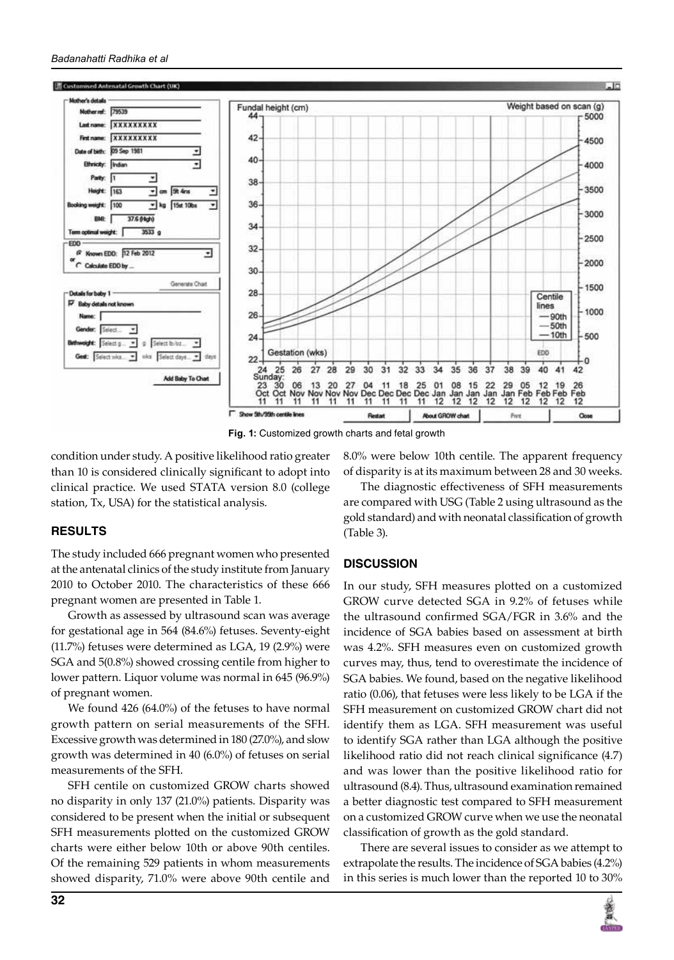

**Fig. 1:** Customized growth charts and fetal growth

condition under study. A positive likelihood ratio greater than 10 is considered clinically significant to adopt into clinical practice. We used STATA version 8.0 (college station, Tx, USA) for the statistical analysis.

# **Results**

The study included 666 pregnant women who presented at the antenatal clinics of the study institute from January 2010 to October 2010. The characteristics of these 666 pregnant women are presented in Table 1.

Growth as assessed by ultrasound scan was average for gestational age in 564 (84.6%) fetuses. Seventy-eight (11.7%) fetuses were determined as LGA, 19 (2.9%) were SGA and 5(0.8%) showed crossing centile from higher to lower pattern. Liquor volume was normal in 645 (96.9%) of pregnant women.

We found 426 (64.0%) of the fetuses to have normal growth pattern on serial measurements of the SFH. Excessive growth was determined in 180 (27.0%), and slow growth was determined in 40 (6.0%) of fetuses on serial measurements of the SFH.

SFH centile on customized GROW charts showed no disparity in only 137 (21.0%) patients. Disparity was considered to be present when the initial or subsequent SFH measurements plotted on the customized GROW charts were either below 10th or above 90th centiles. Of the remaining 529 patients in whom measurements showed disparity, 71.0% were above 90th centile and 8.0% were below 10th centile. The apparent frequency of disparity is at its maximum between 28 and 30 weeks.

The diagnostic effectiveness of SFH measurements are compared with USG (Table 2 using ultrasound as the gold standard) and with neonatal classification of growth (Table 3).

# **Discussion**

In our study, SFH measures plotted on a customized GROW curve detected SGA in 9.2% of fetuses while the ultrasound confirmed SGA/FGR in 3.6% and the incidence of SGA babies based on assessment at birth was 4.2%. SFH measures even on customized growth curves may, thus, tend to overestimate the incidence of SGA babies. We found, based on the negative likelihood ratio (0.06), that fetuses were less likely to be LGA if the SFH measurement on customized GROW chart did not identify them as LGA. SFH measurement was useful to identify SGA rather than LGA although the positive likelihood ratio did not reach clinical significance (4.7) and was lower than the positive likelihood ratio for ultrasound (8.4). Thus, ultrasound examination remained a better diagnostic test compared to SFH measurement on a customized GROW curve when we use the neonatal classification of growth as the gold standard.

There are several issues to consider as we attempt to extrapolate the results. The incidence of SGA babies (4.2%) in this series is much lower than the reported 10 to 30%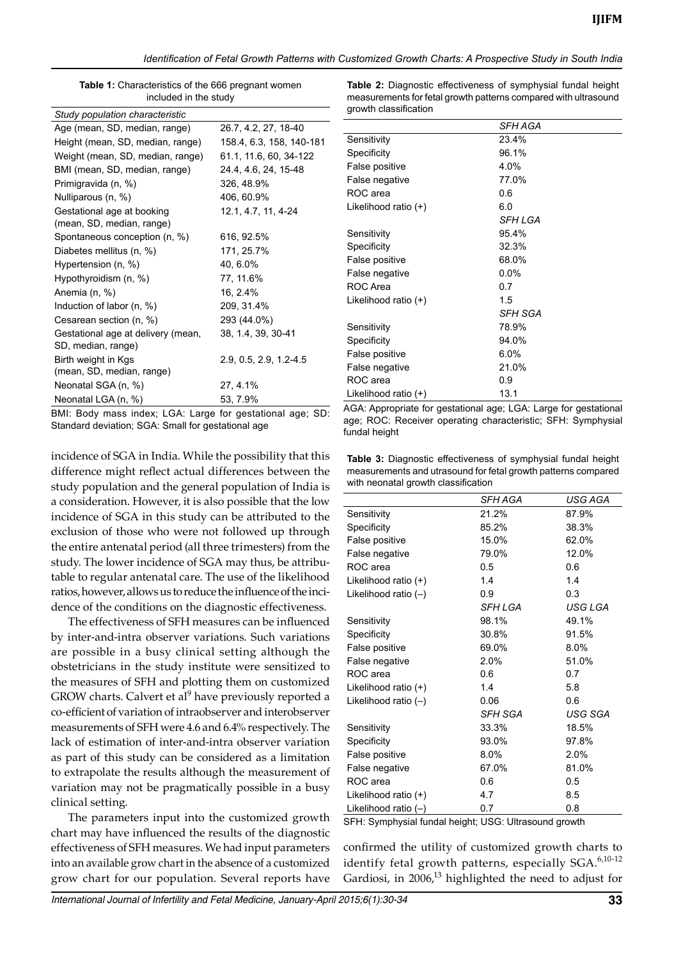| Table 1: Characteristics of the 666 pregnant women |  |
|----------------------------------------------------|--|
| included in the study                              |  |

| Study population characteristic    |                            |
|------------------------------------|----------------------------|
| Age (mean, SD, median, range)      | 26.7, 4.2, 27, 18-40       |
| Height (mean, SD, median, range)   | 158.4, 6.3, 158, 140-181   |
| Weight (mean, SD, median, range)   | 61.1, 11.6, 60, 34-122     |
| BMI (mean, SD, median, range)      | 24.4, 4.6, 24, 15-48       |
| Primigravida (n, %)                | 326, 48.9%                 |
| Nulliparous (n, %)                 | 406, 60.9%                 |
| Gestational age at booking         | 12.1, 4.7, 11, 4-24        |
| (mean, SD, median, range)          |                            |
| Spontaneous conception (n, %)      | 616, 92.5%                 |
| Diabetes mellitus (n, %)           | 171, 25.7%                 |
| Hypertension (n, %)                | 40, 6.0%                   |
| Hypothyroidism (n, %)              | 77, 11.6%                  |
| Anemia (n, %)                      | 16, 2.4%                   |
| Induction of labor (n, %)          | 209, 31.4%                 |
| Cesarean section (n, %)            | 293 (44.0%)                |
| Gestational age at delivery (mean, | 38, 1.4, 39, 30-41         |
| SD, median, range)                 |                            |
| Birth weight in Kgs                | $2.9, 0.5, 2.9, 1.2 - 4.5$ |
| (mean, SD, median, range)          |                            |
| Neonatal SGA (n, %)                | 27, 4.1%                   |
| Neonatal LGA (n, %)                | 53, 7.9%                   |

BMI: Body mass index; LGA: Large for gestational age; SD: Standard deviation; SGA: Small for gestational age

incidence of SGA in India. While the possibility that this difference might reflect actual differences between the study population and the general population of India is a consideration. However, it is also possible that the low incidence of SGA in this study can be attributed to the exclusion of those who were not followed up through the entire antenatal period (all three trimesters) from the study. The lower incidence of SGA may thus, be attributable to regular antenatal care. The use of the likelihood ratios, however, allows us to reduce the influence of the incidence of the conditions on the diagnostic effectiveness.

The effectiveness of SFH measures can be influenced by inter-and-intra observer variations. Such variations are possible in a busy clinical setting although the obstetricians in the study institute were sensitized to the measures of SFH and plotting them on customized GROW charts. Calvert et al<sup>9</sup> have previously reported a co-efficient of variation of intraobserver and interobserver measurements of SFH were 4.6 and 6.4% respectively. The lack of estimation of inter-and-intra observer variation as part of this study can be considered as a limitation to extrapolate the results although the measurement of variation may not be pragmatically possible in a busy clinical setting.

The parameters input into the customized growth chart may have influenced the results of the diagnostic effectiveness of SFH measures. We had input parameters into an available grow chart in the absence of a customized grow chart for our population. Several reports have

**Table 2:** Diagnostic effectiveness of symphysial fundal height measurements for fetal growth patterns compared with ultrasound growth classification

|                        | SFH AGA |  |
|------------------------|---------|--|
| Sensitivity            | 23.4%   |  |
| Specificity            | 96.1%   |  |
| False positive         | 4.0%    |  |
| False negative         | 77.0%   |  |
| ROC area               | 0.6     |  |
| Likelihood ratio $(+)$ | 6.0     |  |
|                        | SFH LGA |  |
| Sensitivity            | 95.4%   |  |
| Specificity            | 32.3%   |  |
| False positive         | 68.0%   |  |
| False negative         | $0.0\%$ |  |
| ROC Area               | 0.7     |  |
| Likelihood ratio (+)   | 1.5     |  |
|                        | SFH SGA |  |
| Sensitivity            | 78.9%   |  |
| Specificity            | 94.0%   |  |
| False positive         | 6.0%    |  |
| False negative         | 21.0%   |  |
| ROC area               | 0.9     |  |
| Likelihood ratio (+)   | 13.1    |  |

AGA: Appropriate for gestational age; LGA: Large for gestational age; ROC: Receiver operating characteristic; SFH: symphysial fundal height

**Table 3:** Diagnostic effectiveness of symphysial fundal height measurements and utrasound for fetal growth patterns compared with neonatal growth classification

|                        | SFH AGA | USG AGA |
|------------------------|---------|---------|
| Sensitivity            | 21.2%   | 87.9%   |
| Specificity            | 85.2%   | 38.3%   |
| False positive         | 15.0%   | 62.0%   |
| False negative         | 79.0%   | 12.0%   |
| ROC area               | 0.5     | 0.6     |
| Likelihood ratio (+)   | 1.4     | 1.4     |
| Likelihood ratio $(-)$ | 0.9     | 0.3     |
|                        | SFH LGA | USG LGA |
| Sensitivity            | 98.1%   | 49.1%   |
| Specificity            | 30.8%   | 91.5%   |
| False positive         | 69.0%   | 8.0%    |
| False negative         | 2.0%    | 51.0%   |
| ROC area               | 0.6     | 0.7     |
| Likelihood ratio (+)   | 1.4     | 5.8     |
| Likelihood ratio $(-)$ | 0.06    | 0.6     |
|                        | SFH SGA | USG SGA |
| Sensitivity            | 33.3%   | 18.5%   |
| Specificity            | 93.0%   | 97.8%   |
| False positive         | 8.0%    | 2.0%    |
| False negative         | 67.0%   | 81.0%   |
| ROC area               | 0.6     | 0.5     |
| Likelihood ratio (+)   | 4.7     | 8.5     |
| Likelihood ratio $(-)$ | 0.7     | 0.8     |

SFH: symphysial fundal height; USG: Ultrasound growth

confirmed the utility of customized growth charts to identify fetal growth patterns, especially SGA.<sup>6,10-12</sup> Gardiosi, in  $2006<sup>13</sup>$  highlighted the need to adjust for